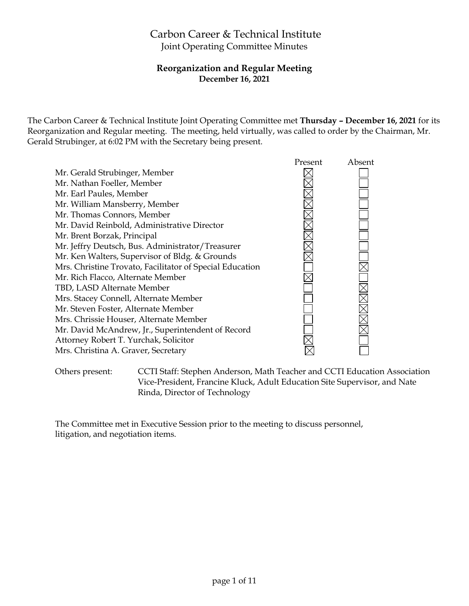# Carbon Career & Technical Institute Joint Operating Committee Minutes

## **Reorganization and Regular Meeting December 16, 2021**

The Carbon Career & Technical Institute Joint Operating Committee met **Thursday – December 16, 2021** for its Reorganization and Regular meeting. The meeting, held virtually, was called to order by the Chairman, Mr. Gerald Strubinger, at 6:02 PM with the Secretary being present.

|                                                          | Present | Absent |
|----------------------------------------------------------|---------|--------|
| Mr. Gerald Strubinger, Member                            |         |        |
| Mr. Nathan Foeller, Member                               |         |        |
| Mr. Earl Paules, Member                                  |         |        |
| Mr. William Mansberry, Member                            |         |        |
| Mr. Thomas Connors, Member                               |         |        |
| Mr. David Reinbold, Administrative Director              |         |        |
| Mr. Brent Borzak, Principal                              |         |        |
| Mr. Jeffry Deutsch, Bus. Administrator/Treasurer         |         |        |
| Mr. Ken Walters, Supervisor of Bldg. & Grounds           |         |        |
| Mrs. Christine Trovato, Facilitator of Special Education |         |        |
| Mr. Rich Flacco, Alternate Member                        |         |        |
| TBD, LASD Alternate Member                               |         |        |
| Mrs. Stacey Connell, Alternate Member                    |         |        |
| Mr. Steven Foster, Alternate Member                      |         |        |
| Mrs. Chrissie Houser, Alternate Member                   |         |        |
| Mr. David McAndrew, Jr., Superintendent of Record        |         |        |
| Attorney Robert T. Yurchak, Solicitor                    |         |        |
| Mrs. Christina A. Graver, Secretary                      |         |        |
|                                                          |         |        |

Others present: CCTI Staff: Stephen Anderson, Math Teacher and CCTI Education Association Vice-President, Francine Kluck, Adult Education Site Supervisor, and Nate Rinda, Director of Technology

The Committee met in Executive Session prior to the meeting to discuss personnel, litigation, and negotiation items.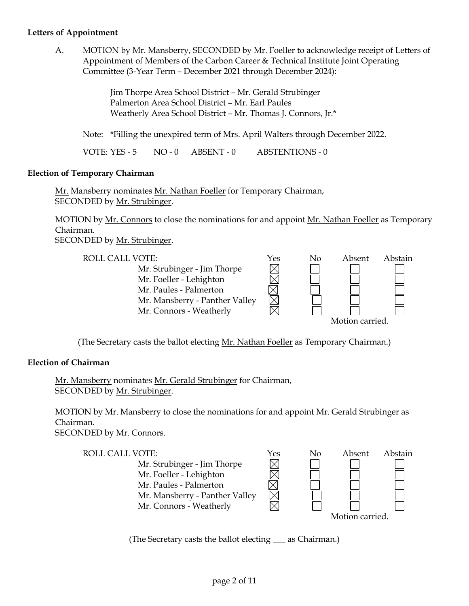#### **Letters of Appointment**

A. MOTION by Mr. Mansberry, SECONDED by Mr. Foeller to acknowledge receipt of Letters of Appointment of Members of the Carbon Career & Technical Institute Joint Operating Committee (3-Year Term – December 2021 through December 2024):

> Jim Thorpe Area School District – Mr. Gerald Strubinger Palmerton Area School District – Mr. Earl Paules Weatherly Area School District – Mr. Thomas J. Connors, Jr.\*

Note: \*Filling the unexpired term of Mrs. April Walters through December 2022.

VOTE: YES - 5 NO - 0 ABSENT - 0 ABSTENTIONS - 0

#### **Election of Temporary Chairman**

Mr. Mansberry nominates Mr. Nathan Foeller for Temporary Chairman, SECONDED by Mr. Strubinger.

MOTION by Mr. Connors to close the nominations for and appoint Mr. Nathan Foeller as Temporary Chairman.

SECONDED by Mr. Strubinger.



(The Secretary casts the ballot electing Mr. Nathan Foeller as Temporary Chairman.)

#### **Election of Chairman**

Mr. Mansberry nominates Mr. Gerald Strubinger for Chairman, SECONDED by Mr. Strubinger.

MOTION by Mr. Mansberry to close the nominations for and appoint Mr. Gerald Strubinger as Chairman.

SECONDED by Mr. Connors.

| ROLL CALL VOTE:                | Yes | No | Absent          | Abstain |
|--------------------------------|-----|----|-----------------|---------|
| Mr. Strubinger - Jim Thorpe    |     |    |                 |         |
| Mr. Foeller - Lehighton        |     |    |                 |         |
| Mr. Paules - Palmerton         |     |    |                 |         |
| Mr. Mansberry - Panther Valley |     |    |                 |         |
| Mr. Connors - Weatherly        |     |    |                 |         |
|                                |     |    | Motion carried. |         |

(The Secretary casts the ballot electing \_\_\_ as Chairman.)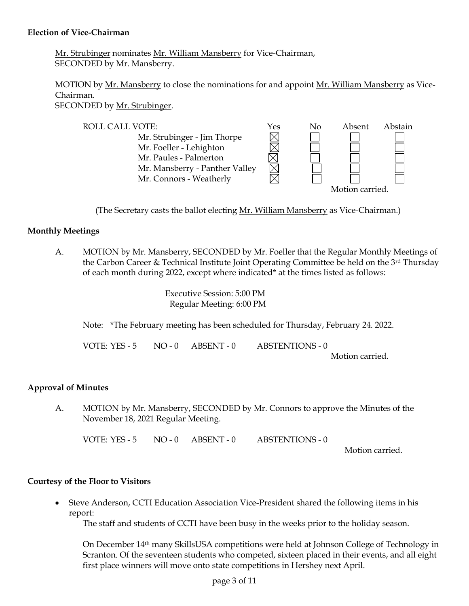#### **Election of Vice-Chairman**

Mr. Strubinger nominates Mr. William Mansberry for Vice-Chairman, SECONDED by Mr. Mansberry.

MOTION by Mr. Mansberry to close the nominations for and appoint Mr. William Mansberry as Vice-Chairman. SECONDED by Mr. Strubinger.

ROLL CALL VOTE:<br>
Mr. Strubinger - Jim Thorpe<br>
Mr. Foeller - Lehighton<br>  $\boxtimes$ Mr. Strubinger - Jim Thorpe Mr. Foeller - Lehighton Mr. Paules - Palmerton Mr. Mansberry - Panther Valley Mr. Connors - Weatherly Motion carried.

(The Secretary casts the ballot electing Mr. William Mansberry as Vice-Chairman.)

## **Monthly Meetings**

A. MOTION by Mr. Mansberry, SECONDED by Mr. Foeller that the Regular Monthly Meetings of the Carbon Career & Technical Institute Joint Operating Committee be held on the 3<sup>rd</sup> Thursday of each month during 2022, except where indicated\* at the times listed as follows:

> Executive Session: 5:00 PM Regular Meeting: 6:00 PM

Note: \*The February meeting has been scheduled for Thursday, February 24. 2022.

VOTE: YES - 5 NO - 0 ABSENT - 0 ABSTENTIONS - 0 Motion carried.

#### **Approval of Minutes**

A. MOTION by Mr. Mansberry, SECONDED by Mr. Connors to approve the Minutes of the November 18, 2021 Regular Meeting.

VOTE: YES - 5 NO - 0 ABSENT - 0 ABSTENTIONS - 0

Motion carried.

#### **Courtesy of the Floor to Visitors**

 Steve Anderson, CCTI Education Association Vice-President shared the following items in his report:

The staff and students of CCTI have been busy in the weeks prior to the holiday season.

On December 14th many SkillsUSA competitions were held at Johnson College of Technology in Scranton. Of the seventeen students who competed, sixteen placed in their events, and all eight first place winners will move onto state competitions in Hershey next April.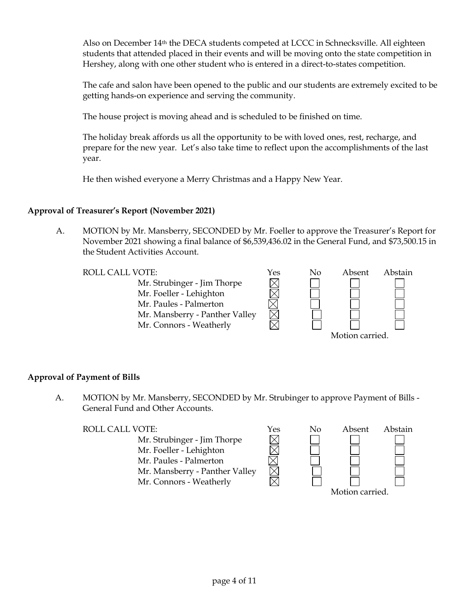Also on December 14th the DECA students competed at LCCC in Schnecksville. All eighteen students that attended placed in their events and will be moving onto the state competition in Hershey, along with one other student who is entered in a direct-to-states competition.

The cafe and salon have been opened to the public and our students are extremely excited to be getting hands-on experience and serving the community.

The house project is moving ahead and is scheduled to be finished on time.

The holiday break affords us all the opportunity to be with loved ones, rest, recharge, and prepare for the new year. Let's also take time to reflect upon the accomplishments of the last year.

He then wished everyone a Merry Christmas and a Happy New Year.

## **Approval of Treasurer's Report (November 2021)**

A. MOTION by Mr. Mansberry, SECONDED by Mr. Foeller to approve the Treasurer's Report for November 2021 showing a final balance of \$6,539,436.02 in the General Fund, and \$73,500.15 in the Student Activities Account.

Mr. Strubinger - Jim Thorpe Mr. Foeller - Lehighton Mr. Paules - Palmerton Mr. Mansberry - Panther Valley Mr. Connors - Weatherly



#### **Approval of Payment of Bills**

A. MOTION by Mr. Mansberry, SECONDED by Mr. Strubinger to approve Payment of Bills - General Fund and Other Accounts.

| ROLL CALL VOTE:                | Yes | $\rm No$ | Absent          | Abstain |
|--------------------------------|-----|----------|-----------------|---------|
| Mr. Strubinger - Jim Thorpe    |     |          |                 |         |
| Mr. Foeller - Lehighton        |     |          |                 |         |
| Mr. Paules - Palmerton         |     |          |                 |         |
| Mr. Mansberry - Panther Valley |     |          |                 |         |
| Mr. Connors - Weatherly        |     |          |                 |         |
|                                |     |          | Motion carried. |         |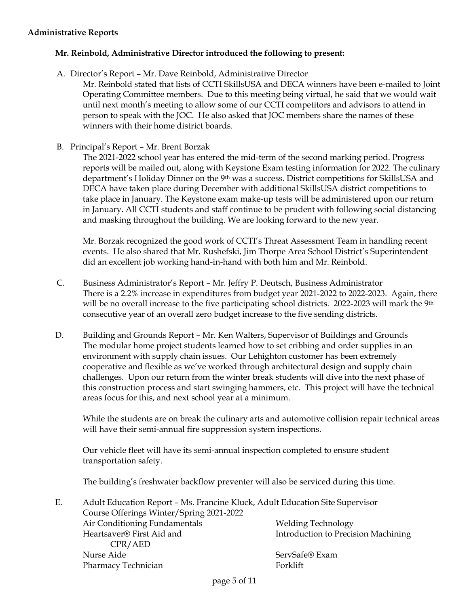#### **Administrative Reports**

#### **Mr. Reinbold, Administrative Director introduced the following to present:**

A. Director's Report – Mr. Dave Reinbold, Administrative Director

Mr. Reinbold stated that lists of CCTI SkillsUSA and DECA winners have been e-mailed to Joint Operating Committee members. Due to this meeting being virtual, he said that we would wait until next month's meeting to allow some of our CCTI competitors and advisors to attend in person to speak with the JOC. He also asked that JOC members share the names of these winners with their home district boards.

B. Principal's Report – Mr. Brent Borzak

The 2021-2022 school year has entered the mid-term of the second marking period. Progress reports will be mailed out, along with Keystone Exam testing information for 2022. The culinary department's Holiday Dinner on the 9<sup>th</sup> was a success. District competitions for SkillsUSA and DECA have taken place during December with additional SkillsUSA district competitions to take place in January. The Keystone exam make-up tests will be administered upon our return in January. All CCTI students and staff continue to be prudent with following social distancing and masking throughout the building. We are looking forward to the new year.

Mr. Borzak recognized the good work of CCTI's Threat Assessment Team in handling recent events. He also shared that Mr. Rushefski, Jim Thorpe Area School District's Superintendent did an excellent job working hand-in-hand with both him and Mr. Reinbold.

- C. Business Administrator's Report Mr. Jeffry P. Deutsch, Business Administrator There is a 2.2% increase in expenditures from budget year 2021-2022 to 2022-2023. Again, there will be no overall increase to the five participating school districts. 2022-2023 will mark the 9<sup>th</sup> consecutive year of an overall zero budget increase to the five sending districts.
- D. Building and Grounds Report Mr. Ken Walters, Supervisor of Buildings and Grounds The modular home project students learned how to set cribbing and order supplies in an environment with supply chain issues. Our Lehighton customer has been extremely cooperative and flexible as we've worked through architectural design and supply chain challenges. Upon our return from the winter break students will dive into the next phase of this construction process and start swinging hammers, etc. This project will have the technical areas focus for this, and next school year at a minimum.

While the students are on break the culinary arts and automotive collision repair technical areas will have their semi-annual fire suppression system inspections.

Our vehicle fleet will have its semi-annual inspection completed to ensure student transportation safety.

The building's freshwater backflow preventer will also be serviced during this time.

| Ε. | Adult Education Report - Ms. Francine Kluck, Adult Education Site Supervisor |                                     |  |  |
|----|------------------------------------------------------------------------------|-------------------------------------|--|--|
|    | Course Offerings Winter/Spring 2021-2022                                     |                                     |  |  |
|    | Air Conditioning Fundamentals                                                | <b>Welding Technology</b>           |  |  |
|    | Heartsaver® First Aid and                                                    | Introduction to Precision Machining |  |  |
|    | CPR/AED                                                                      |                                     |  |  |
|    | Nurse Aide                                                                   | ServSafe® Exam                      |  |  |
|    | Pharmacy Technician                                                          | Forklift                            |  |  |
|    |                                                                              |                                     |  |  |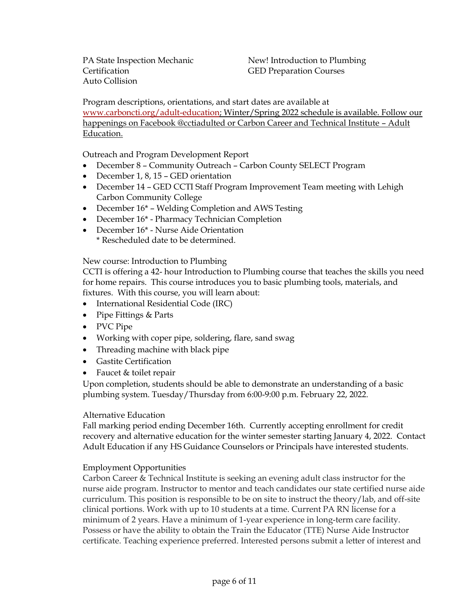PA State Inspection Mechanic Certification Auto Collision

New! Introduction to Plumbing GED Preparation Courses

Program descriptions, orientations, and start dates are available at [www.carboncti.org/adult-education;](http://www.carboncti.org/adult-education) Winter/Spring 2022 schedule is available. Follow our happenings on Facebook @cctiadulted or Carbon Career and Technical Institute – Adult Education.

Outreach and Program Development Report

- December 8 Community Outreach Carbon County SELECT Program
- December 1, 8, 15 GED orientation
- December 14 GED CCTI Staff Program Improvement Team meeting with Lehigh Carbon Community College
- December 16<sup>\*</sup> Welding Completion and AWS Testing
- December 16\* Pharmacy Technician Completion
- December 16<sup>\*</sup> Nurse Aide Orientation \* Rescheduled date to be determined.

#### New course: Introduction to Plumbing

CCTI is offering a 42- hour Introduction to Plumbing course that teaches the skills you need for home repairs. This course introduces you to basic plumbing tools, materials, and fixtures. With this course, you will learn about:

- International Residential Code (IRC)
- Pipe Fittings & Parts
- PVC Pipe
- Working with coper pipe, soldering, flare, sand swag
- Threading machine with black pipe
- Gastite Certification
- Faucet & toilet repair

Upon completion, students should be able to demonstrate an understanding of a basic plumbing system. Tuesday/Thursday from 6:00-9:00 p.m. February 22, 2022.

#### Alternative Education

Fall marking period ending December 16th. Currently accepting enrollment for credit recovery and alternative education for the winter semester starting January 4, 2022. Contact Adult Education if any HS Guidance Counselors or Principals have interested students.

#### Employment Opportunities

Carbon Career & Technical Institute is seeking an evening adult class instructor for the nurse aide program. Instructor to mentor and teach candidates our state certified nurse aide curriculum. This position is responsible to be on site to instruct the theory/lab, and off-site clinical portions. Work with up to 10 students at a time. Current PA RN license for a minimum of 2 years. Have a minimum of 1-year experience in long-term care facility. Possess or have the ability to obtain the Train the Educator (TTE) Nurse Aide Instructor certificate. Teaching experience preferred. Interested persons submit a letter of interest and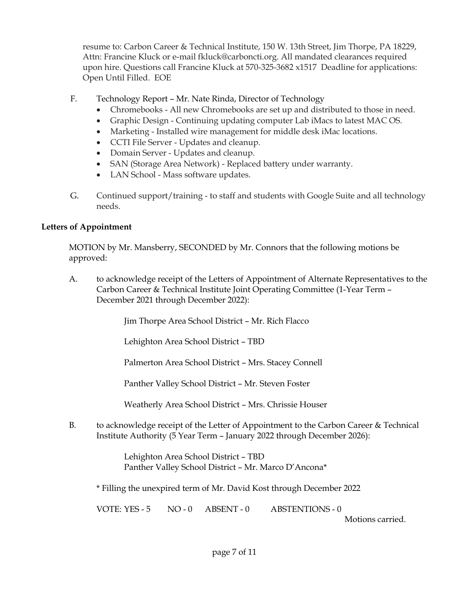resume to: Carbon Career & Technical Institute, 150 W. 13th Street, Jim Thorpe, PA 18229, Attn: Francine Kluck or e-mail fkluck@carboncti.org. All mandated clearances required upon hire. Questions call Francine Kluck at 570-325-3682 x1517 Deadline for applications: Open Until Filled. EOE

- F. Technology Report Mr. Nate Rinda, Director of Technology
	- Chromebooks All new Chromebooks are set up and distributed to those in need.
	- Graphic Design Continuing updating computer Lab iMacs to latest MAC OS.
	- Marketing Installed wire management for middle desk iMac locations.
	- CCTI File Server Updates and cleanup.
	- Domain Server Updates and cleanup.
	- SAN (Storage Area Network) Replaced battery under warranty.
	- LAN School Mass software updates.
- G. Continued support/training to staff and students with Google Suite and all technology needs.

# **Letters of Appointment**

MOTION by Mr. Mansberry, SECONDED by Mr. Connors that the following motions be approved:

A. to acknowledge receipt of the Letters of Appointment of Alternate Representatives to the Carbon Career & Technical Institute Joint Operating Committee (1-Year Term – December 2021 through December 2022):

Jim Thorpe Area School District – Mr. Rich Flacco

Lehighton Area School District – TBD

Palmerton Area School District – Mrs. Stacey Connell

Panther Valley School District – Mr. Steven Foster

Weatherly Area School District – Mrs. Chrissie Houser

B. to acknowledge receipt of the Letter of Appointment to the Carbon Career & Technical Institute Authority (5 Year Term – January 2022 through December 2026):

> Lehighton Area School District – TBD Panther Valley School District – Mr. Marco D'Ancona\*

\* Filling the unexpired term of Mr. David Kost through December 2022

VOTE: YES - 5 NO - 0 ABSENT - 0 ABSTENTIONS - 0

Motions carried.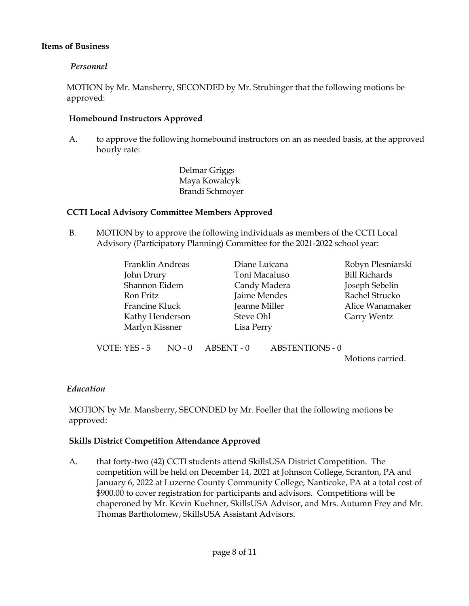## **Items of Business**

## *Personnel*

MOTION by Mr. Mansberry, SECONDED by Mr. Strubinger that the following motions be approved:

#### **Homebound Instructors Approved**

A. to approve the following homebound instructors on an as needed basis, at the approved hourly rate:

> Delmar Griggs Maya Kowalcyk Brandi Schmoyer

## **CCTI Local Advisory Committee Members Approved**

B. MOTION by to approve the following individuals as members of the CCTI Local Advisory (Participatory Planning) Committee for the 2021-2022 school year:

| Franklin Andreas | Diane Luicana | Robyn Plesniarski    |
|------------------|---------------|----------------------|
| John Drury       | Toni Macaluso | <b>Bill Richards</b> |
| Shannon Eidem    | Candy Madera  | Joseph Sebelin       |
| Ron Fritz        | Jaime Mendes  | Rachel Strucko       |
| Francine Kluck   | Jeanne Miller | Alice Wanamaker      |
| Kathy Henderson  | Steve Ohl     | Garry Wentz          |
| Marlyn Kissner   | Lisa Perry    |                      |
|                  |               |                      |

VOTE: YES - 5 NO - 0 ABSENT - 0 ABSTENTIONS - 0

Motions carried.

#### *Education*

MOTION by Mr. Mansberry, SECONDED by Mr. Foeller that the following motions be approved:

#### **Skills District Competition Attendance Approved**

A. that forty-two (42) CCTI students attend SkillsUSA District Competition. The competition will be held on December 14, 2021 at Johnson College, Scranton, PA and January 6, 2022 at Luzerne County Community College, Nanticoke, PA at a total cost of \$900.00 to cover registration for participants and advisors. Competitions will be chaperoned by Mr. Kevin Kuehner, SkillsUSA Advisor, and Mrs. Autumn Frey and Mr. Thomas Bartholomew, SkillsUSA Assistant Advisors.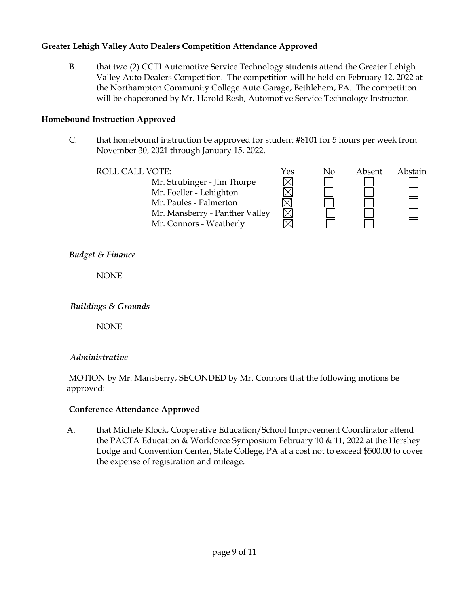# **Greater Lehigh Valley Auto Dealers Competition Attendance Approved**

B. that two (2) CCTI Automotive Service Technology students attend the Greater Lehigh Valley Auto Dealers Competition. The competition will be held on February 12, 2022 at the Northampton Community College Auto Garage, Bethlehem, PA. The competition will be chaperoned by Mr. Harold Resh, Automotive Service Technology Instructor.

# **Homebound Instruction Approved**

C. that homebound instruction be approved for student #8101 for 5 hours per week from November 30, 2021 through January 15, 2022.

Mr. Strubinger - Jim Thorpe Mr. Foeller - Lehighton Mr. Paules - Palmerton Mr. Mansberry - Panther Valley Mr. Connors - Weatherly



# *Budget & Finance*

NONE

# *Buildings & Grounds*

NONE

# *Administrative*

MOTION by Mr. Mansberry, SECONDED by Mr. Connors that the following motions be approved:

# **Conference Attendance Approved**

A. that Michele Klock, Cooperative Education/School Improvement Coordinator attend the PACTA Education & Workforce Symposium February 10 & 11, 2022 at the Hershey Lodge and Convention Center, State College, PA at a cost not to exceed \$500.00 to cover the expense of registration and mileage.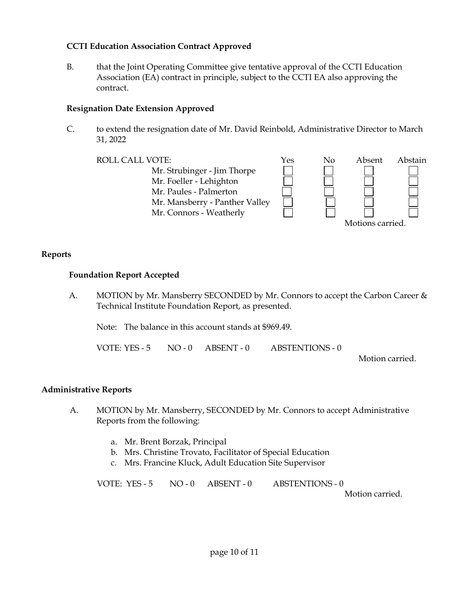## **CCTI Education Association Contract Approved**

B. that the Joint Operating Committee give tentative approval of the CCTI Education Association (EA) contract in principle, subject to the CCTI EA also approving the contract.

#### **Resignation Date Extension Approved**

C. to extend the resignation date of Mr. David Reinbold, Administrative Director to March 31, 2022



#### **Reports**

#### **Foundation Report Accepted**

A. MOTION by Mr. Mansberry SECONDED by Mr. Connors to accept the Carbon Career & Technical Institute Foundation Report, as presented.

Note: The balance in this account stands at \$969.49.

VOTE: YES - 5 NO - 0 ABSENT - 0 ABSTENTIONS - 0

Motion carried.

#### **Administrative Reports**

- A. MOTION by Mr. Mansberry, SECONDED by Mr. Connors to accept Administrative Reports from the following:
	- a. Mr. Brent Borzak, Principal
	- b. Mrs. Christine Trovato, Facilitator of Special Education
	- c. Mrs. Francine Kluck, Adult Education Site Supervisor

VOTE: YES - 5 NO - 0 ABSENT - 0 ABSTENTIONS - 0

Motion carried.